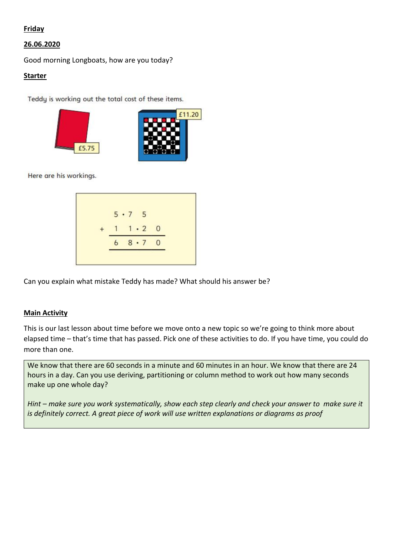# Friday

# 26.06.2020

Good morning Longboats, how are you today?

#### Starter

Teddy is working out the total cost of these items.





Here are his workings.

$$
\begin{array}{r} 5 \cdot 7 & 5 \\ + & 1 & 1 \cdot 2 & 0 \\ \hline 6 & 8 \cdot 7 & 0 \\ \hline \end{array}
$$

Can you explain what mistake Teddy has made? What should his answer be?

# Main Activity

This is our last lesson about time before we move onto a new topic so we're going to think more about elapsed time – that's time that has passed. Pick one of these activities to do. If you have time, you could do more than one.

We know that there are 60 seconds in a minute and 60 minutes in an hour. We know that there are 24 hours in a day. Can you use deriving, partitioning or column method to work out how many seconds make up one whole day?

*Hint – make sure you work systematically, show each step clearly and check your answer to make sure it is definitely correct. A great piece of work will use written explanations or diagrams as proof*